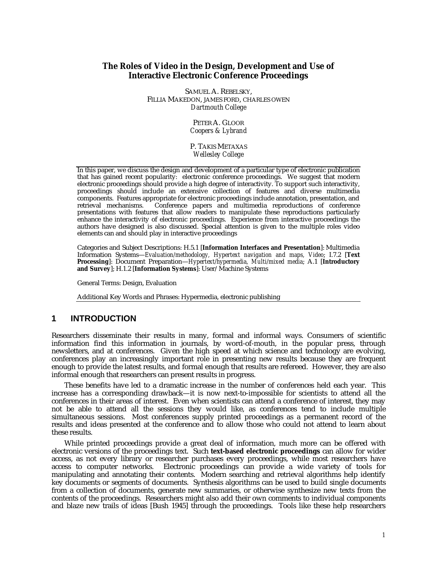# **The Roles of Video in the Design, Development and Use of Interactive Electronic Conference Proceedings**

SAMUEL A. REBELSKY, FILLIA MAKEDON, JAMES FORD, CHARLES OWEN *Dartmouth College*

> PETER A. GLOOR *Coopers & Lybrand*

P. TAKIS METAXAS *Wellesley College*

In this paper, we discuss the design and development of a particular type of electronic publication that has gained recent popularity: electronic conference proceedings. We suggest that modern electronic proceedings should provide a high degree of interactivity. To support such interactivity, proceedings should include an extensive collection of features and diverse multimedia components. Features appropriate for electronic proceedings include annotation, presentation, and Conference papers and multimedia reproductions of conference presentations with features that allow readers to manipulate these reproductions particularly enhance the interactivity of electronic proceedings. Experience from interactive proceedings the authors have designed is also discussed. Special attention is given to the multiple roles video elements can and should play in interactive proceedings

Categories and Subject Descriptions: H.5.1 [**Information Interfaces and Presentation**]: Multimedia Information Systems—*Evaluation/methodology, Hypertext navigation and maps, Video*; I.7.2 [**Text Processing**]: Document Preparation—*Hypertext/hypermedia, Multi/mixed media*; A.1 [**Introductory and Survey**]; H.1.2 [**Information Systems**]: User/Machine Systems

General Terms: Design, Evaluation

Additional Key Words and Phrases: Hypermedia, electronic publishing

# **1 INTRODUCTION**

Researchers disseminate their results in many, formal and informal ways. Consumers of scientific information find this information in journals, by word-of-mouth, in the popular press, through newsletters, and at conferences. Given the high speed at which science and technology are evolving, conferences play an increasingly important role in presenting new results because they are frequent enough to provide the latest results, and formal enough that results are refereed. However, they are also informal enough that researchers can present results in progress.

These benefits have led to a dramatic increase in the number of conferences held each year. This increase has a corresponding drawback—it is now next-to-impossible for scientists to attend all the conferences in their areas of interest. Even when scientists can attend a conference of interest, they may not be able to attend all the sessions they would like, as conferences tend to include multiple simultaneous sessions. Most conferences supply printed proceedings as a permanent record of the results and ideas presented at the conference and to allow those who could not attend to learn about these results.

While printed proceedings provide a great deal of information, much more can be offered with electronic versions of the proceedings text. Such **text-based electronic proceedings** can allow for wider access, as not every library or researcher purchases every proceedings, while most researchers have access to computer networks. Electronic proceedings can provide a wide variety of tools for manipulating and annotating their contents. Modern searching and retrieval algorithms help identify key documents or segments of documents. Synthesis algorithms can be used to build single documents from a collection of documents, generate new summaries, or otherwise synthesize new texts from the contents of the proceedings. Researchers might also add their own comments to individual components and blaze new trails of ideas [Bush 1945] through the proceedings. Tools like these help researchers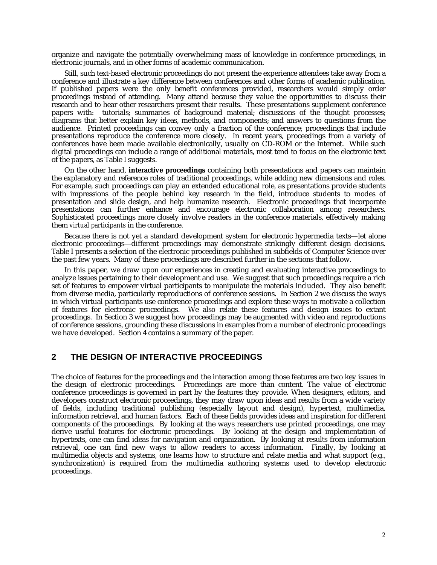organize and navigate the potentially overwhelming mass of knowledge in conference proceedings, in electronic journals, and in other forms of academic communication.

Still, such text-based electronic proceedings do not present the experience attendees take away from a conference and illustrate a key difference between conferences and other forms of academic publication. If published papers were the only benefit conferences provided, researchers would simply order proceedings instead of attending. Many attend because they value the opportunities to discuss their research and to hear other researchers present their results. These presentations supplement conference papers with: tutorials; summaries of background material; discussions of the thought processes; diagrams that better explain key ideas, methods, and components; and answers to questions from the audience. Printed proceedings can convey only a fraction of the conference; proceedings that include presentations reproduce the conference more closely. In recent years, proceedings from a variety of conferences have been made available electronically, usually on CD-ROM or the Internet. While such digital proceedings can include a range of additional materials, most tend to focus on the electronic text of the papers, as Table I suggests.

On the other hand, **interactive proceedings** containing both presentations and papers can maintain the explanatory and reference roles of traditional proceedings, while adding new dimensions and roles. For example, such proceedings can play an extended educational role, as presentations provide students with impressions of the people behind key research in the field, introduce students to modes of presentation and slide design, and help humanize research. Electronic proceedings that incorporate presentations can further enhance and encourage electronic collaboration among researchers. Sophisticated proceedings more closely involve readers in the conference materials, effectively making them *virtual participants* in the conference.

Because there is not yet a standard development system for electronic hypermedia texts—let alone electronic proceedings—different proceedings may demonstrate strikingly different design decisions. Table I presents a selection of the electronic proceedings published in subfields of Computer Science over the past few years. Many of these proceedings are described further in the sections that follow.

In this paper, we draw upon our experiences in creating and evaluating interactive proceedings to analyze issues pertaining to their development and use. We suggest that such proceedings require a rich set of features to empower virtual participants to manipulate the materials included. They also benefit from diverse media, particularly reproductions of conference sessions. In Section 2 we discuss the ways in which virtual participants use conference proceedings and explore these ways to motivate a collection of features for electronic proceedings. We also relate these features and design issues to extant proceedings. In Section 3 we suggest how proceedings may be augmented with video and reproductions of conference sessions, grounding these discussions in examples from a number of electronic proceedings we have developed. Section 4 contains a summary of the paper.

# **2 THE DESIGN OF INTERACTIVE PROCEEDINGS**

The choice of features for the proceedings and the interaction among those features are two key issues in the design of electronic proceedings. Proceedings are more than content. The value of electronic conference proceedings is governed in part by the features they provide. When designers, editors, and developers construct electronic proceedings, they may draw upon ideas and results from a wide variety of fields, including traditional publishing (especially layout and design), hypertext, multimedia, information retrieval, and human factors. Each of these fields provides ideas and inspiration for different components of the proceedings. By looking at the ways researchers use printed proceedings, one may derive useful features for electronic proceedings. By looking at the design and implementation of hypertexts, one can find ideas for navigation and organization. By looking at results from information retrieval, one can find new ways to allow readers to access information. Finally, by looking at multimedia objects and systems, one learns how to structure and relate media and what support (e.g., synchronization) is required from the multimedia authoring systems used to develop electronic proceedings.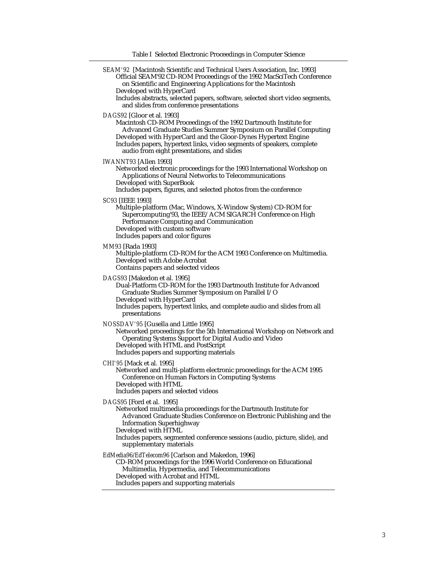| SEAM'92 [Macintosh Scientific and Technical Users Association, Inc. 1993]<br>Official SEAM'92 CD-ROM Proceedings of the 1992 MacSciTech Conference<br>on Scientific and Engineering Applications for the Macintosh<br>Developed with HyperCard<br>Includes abstracts, selected papers, software, selected short video segments,            |
|--------------------------------------------------------------------------------------------------------------------------------------------------------------------------------------------------------------------------------------------------------------------------------------------------------------------------------------------|
| and slides from conference presentations<br>DAGS92 [Gloor et al. 1993]<br>Macintosh CD-ROM Proceedings of the 1992 Dartmouth Institute for<br>Advanced Graduate Studies Summer Symposium on Parallel Computing<br>Developed with HyperCard and the Gloor-Dynes Hypertext Engine                                                            |
| Includes papers, hypertext links, video segments of speakers, complete<br>audio from eight presentations, and slides                                                                                                                                                                                                                       |
| <b>IWANNT93</b> [Allen 1993]<br>Networked electronic proceedings for the 1993 International Workshop on<br><b>Applications of Neural Networks to Telecommunications</b><br>Developed with SuperBook<br>Includes papers, figures, and selected photos from the conference                                                                   |
| <b>SC93 [IEEE 1993]</b><br>Multiple-platform (Mac, Windows, X-Window System) CD-ROM for<br>Supercomputing'93, the IEEE/ACM SIGARCH Conference on High<br>Performance Computing and Communication<br>Developed with custom software<br>Includes papers and color figures                                                                    |
| MM93 [Rada 1993]<br>Multiple-platform CD-ROM for the ACM 1993 Conference on Multimedia.<br>Developed with Adobe Acrobat<br>Contains papers and selected videos                                                                                                                                                                             |
| DAGS93 [Makedon et al. 1995]<br>Dual-Platform CD-ROM for the 1993 Dartmouth Institute for Advanced<br>Graduate Studies Summer Symposium on Parallel I/O<br>Developed with HyperCard<br>Includes papers, hypertext links, and complete audio and slides from all<br>presentations                                                           |
| NOSSDAV'95 [Gusella and Little 1995]<br>Networked proceedings for the 5th International Workshop on Network and<br><b>Operating Systems Support for Digital Audio and Video</b><br>Developed with HTML and PostScript<br>Includes papers and supporting materials                                                                          |
| CHI'95 [Mack et al. 1995]<br>Networked and multi-platform electronic proceedings for the ACM 1995<br><b>Conference on Human Factors in Computing Systems</b><br>Developed with HTML<br>Includes papers and selected videos                                                                                                                 |
| DAGS95 [Ford et al. 1995]<br>Networked multimedia proceedings for the Dartmouth Institute for<br>Advanced Graduate Studies Conference on Electronic Publishing and the<br><b>Information Superhighway</b><br>Developed with HTML<br>Includes papers, segmented conference sessions (audio, picture, slide), and<br>supplementary materials |
| EdMedia96/EdTelecom96 [Carlson and Makedon, 1996]<br>CD-ROM proceedings for the 1996 World Conference on Educational<br>Multimedia, Hypermedia, and Telecommunications<br>Developed with Acrobat and HTML<br>Includes papers and supporting materials                                                                                      |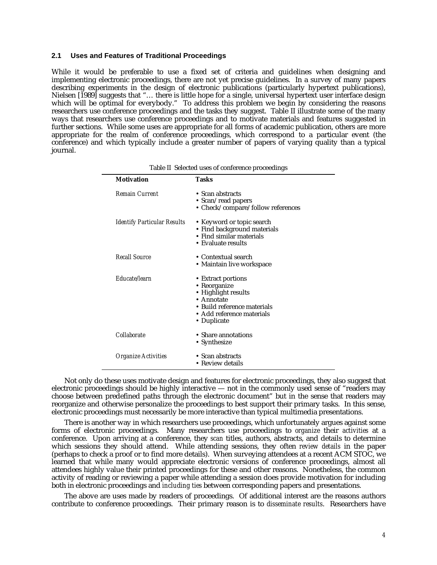## **2.1 Uses and Features of Traditional Proceedings**

While it would be preferable to use a fixed set of criteria and guidelines when designing and implementing electronic proceedings, there are not yet precise guidelines. In a survey of many papers describing experiments in the design of electronic publications (particularly hypertext publications), Nielsen [1989] suggests that "… there is little hope for a single, universal hypertext user interface design which will be optimal for everybody." To address this problem we begin by considering the reasons researchers use conference proceedings and the tasks they suggest. Table II illustrate some of the many ways that researchers use conference proceedings and to motivate materials and features suggested in further sections. While some uses are appropriate for all forms of academic publication, others are more appropriate for the realm of conference proceedings, which correspond to a particular event (the conference) and which typically include a greater number of papers of varying quality than a typical journal.

| <b>Motivation</b>                  | <b>Tasks</b>                                                                                                                                       |
|------------------------------------|----------------------------------------------------------------------------------------------------------------------------------------------------|
| Remain Current                     | • Scan abstracts<br>• Scan/read papers<br>• Check/compare/follow references                                                                        |
| <b>Identify Particular Results</b> | • Keyword or topic search<br>• Find background materials<br>• Find similar materials<br>• Evaluate results                                         |
| <b>Recall Source</b>               | • Contextual search<br>• Maintain live workspace                                                                                                   |
| Educate/learn                      | • Extract portions<br>• Reorganize<br>• Highlight results<br>• Annotate<br>• Build reference materials<br>• Add reference materials<br>• Duplicate |
| Collaborate                        | • Share annotations<br>• Synthesize                                                                                                                |
| Organize Activities                | • Scan abstracts<br>• Review details                                                                                                               |

Table II Selected uses of conference proceedings

Not only do these uses motivate design and features for electronic proceedings, they also suggest that electronic proceedings should be highly interactive — not in the commonly used sense of "readers may choose between predefined paths through the electronic document" but in the sense that readers may reorganize and otherwise personalize the proceedings to best support their primary tasks. In this sense, electronic proceedings must necessarily be more interactive than typical multimedia presentations.

There is another way in which researchers use proceedings, which unfortunately argues against some forms of electronic proceedings. Many researchers use proceedings to *organize* their *activities* at a conference. Upon arriving at a conference, they *scan* titles, authors, abstracts, and details to determine which sessions they should attend. While attending sessions, they often *review details* in the paper (perhaps to check a proof or to find more details). When surveying attendees at a recent ACM STOC, we learned that while many would appreciate electronic versions of conference proceedings, almost all attendees highly value their printed proceedings for these and other reasons. Nonetheless, the common activity of reading or reviewing a paper while attending a session does provide motivation for including both in electronic proceedings and *including ties* between corresponding papers and presentations.

The above are uses made by readers of proceedings. Of additional interest are the reasons authors contribute to conference proceedings. Their primary reason is to *disseminate results*. Researchers have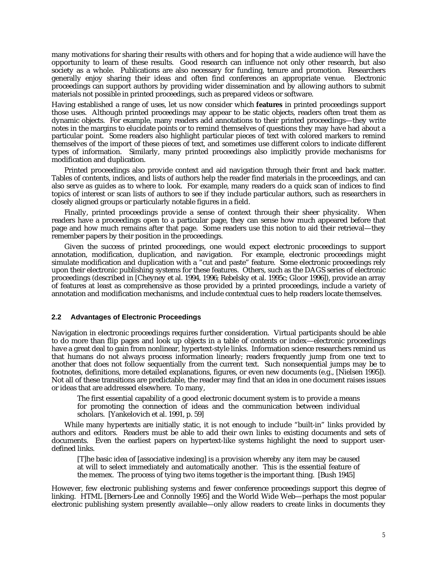many motivations for sharing their results with others and for hoping that a wide audience will have the opportunity to learn of these results. Good research can influence not only other research, but also society as a whole. Publications are also necessary for funding, tenure and promotion. Researchers generally enjoy sharing their ideas and often find conferences an appropriate venue. Electronic proceedings can support authors by providing wider dissemination and by allowing authors to submit materials not possible in printed proceedings, such as prepared videos or software.

Having established a range of uses, let us now consider which **features** in printed proceedings support those uses. Although printed proceedings may appear to be static objects, readers often treat them as dynamic objects. For example, many readers add annotations to their printed proceedings—they write notes in the margins to elucidate points or to remind themselves of questions they may have had about a particular point. Some readers also highlight particular pieces of text with colored markers to remind themselves of the import of these pieces of text, and sometimes use different colors to indicate different types of information. Similarly, many printed proceedings also implicitly provide mechanisms for modification and duplication.

Printed proceedings also provide context and aid navigation through their front and back matter. Tables of contents, indices, and lists of authors help the reader find materials in the proceedings, and can also serve as guides as to where to look. For example, many readers do a quick scan of indices to find topics of interest or scan lists of authors to see if they include particular authors, such as researchers in closely aligned groups or particularly notable figures in a field.

Finally, printed proceedings provide a sense of context through their sheer physicality. When readers have a proceedings open to a particular page, they can sense how much appeared before that page and how much remains after that page. Some readers use this notion to aid their retrieval—they remember papers by their position in the proceedings.

Given the success of printed proceedings, one would expect electronic proceedings to support annotation, modification, duplication, and navigation. For example, electronic proceedings might simulate modification and duplication with a "cut and paste" feature. Some electronic proceedings rely upon their electronic publishing systems for these features. Others, such as the DAGS series of electronic proceedings (described in [Cheyney et al. 1994, 1996; Rebelsky et al. 1995c; Gloor 1996]), provide an array of features at least as comprehensive as those provided by a printed proceedings, include a variety of annotation and modification mechanisms, and include contextual cues to help readers locate themselves.

## **2.2 Advantages of Electronic Proceedings**

Navigation in electronic proceedings requires further consideration. Virtual participants should be able to do more than flip pages and look up objects in a table of contents or index—electronic proceedings have a great deal to gain from nonlinear, hypertext-style links. Information science researchers remind us that humans do not always process information linearly; readers frequently jump from one text to another that does not follow sequentially from the current text. Such nonsequential jumps may be to footnotes, definitions, more detailed explanations, figures, or even new documents (e.g., [Nielsen 1995]). Not all of these transitions are predictable, the reader may find that an idea in one document raises issues or ideas that are addressed elsewhere. To many,

The first essential capability of a good electronic document system is to provide a means for promoting the connection of ideas and the communication between individual scholars. [Yankelovich et al. 1991, p. 59]

While many hypertexts are initially static, it is not enough to include "built-in" links provided by authors and editors. Readers must be able to add their own links to existing documents and sets of documents. Even the earliest papers on hypertext-like systems highlight the need to support userdefined links.

[T]he basic idea of [associative indexing] is a provision whereby any item may be caused at will to select immediately and automatically another. This is the essential feature of the memex. The process of tying two items together is the important thing. [Bush 1945]

However, few electronic publishing systems and fewer conference proceedings support this degree of linking. HTML [Berners-Lee and Connolly 1995] and the World Wide Web—perhaps the most popular electronic publishing system presently available—only allow readers to create links in documents they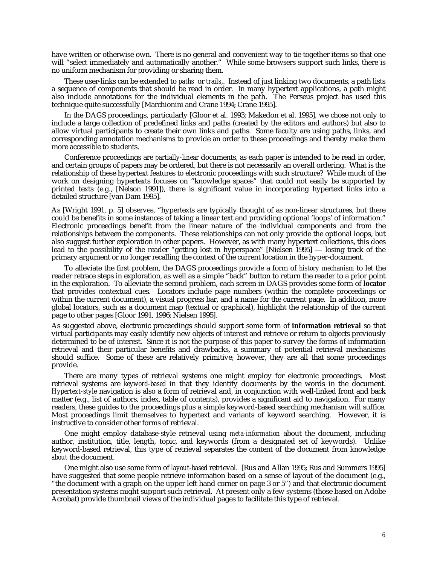have written or otherwise own. There is no general and convenient way to tie together items so that one will "select immediately and automatically another." While some browsers support such links, there is no uniform mechanism for providing or sharing them.

These user-links can be extended to *paths* or *trails*,. Instead of just linking two documents, a path lists a sequence of components that should be read in order. In many hypertext applications, a path might also include annotations for the individual elements in the path. The Perseus project has used this technique quite successfully [Marchionini and Crane 1994; Crane 1995].

In the DAGS proceedings, particularly [Gloor et al. 1993; Makedon et al. 1995], we chose not only to include a large collection of predefined links and paths (created by the editors and authors) but also to allow virtual participants to create their own links and paths. Some faculty are using paths, links, and corresponding annotation mechanisms to provide an order to these proceedings and thereby make them more accessible to students.

Conference proceedings are *partially-linear* documents, as each paper is intended to be read in order, and certain groups of papers may be ordered, but there is not necessarily an overall ordering. What is the relationship of these hypertext features to electronic proceedings with such structure? While much of the work on designing hypertexts focuses on "knowledge spaces" that could not easily be supported by printed texts (e.g., [Nelson 1991]), there is significant value in incorporating hypertext links into a detailed structure [van Dam 1995].

As [Wright 1991, p. 5] observes, "hypertexts are typically thought of as non-linear structures, but there could be benefits in some instances of taking a linear text and providing optional 'loops' of information." Electronic proceedings benefit from the linear nature of the individual components and from the relationships between the components. These relationships can not only provide the optional loops, but also suggest further exploration in other papers. However, as with many hypertext collections, this does lead to the possibility of the reader "getting lost in hyperspace" [Nielsen 1995] — losing track of the primary argument or no longer recalling the context of the current location in the hyper-document.

To alleviate the first problem, the DAGS proceedings provide a form of *history mechanism* to let the reader retrace steps in exploration, as well as a simple "back" button to return the reader to a prior point in the exploration. To alleviate the second problem, each screen in DAGS provides some form of **locator** that provides contextual cues. Locators include page numbers (within the complete proceedings or within the current document), a visual progress bar, and a name for the current page. In addition, more global locators, such as a document map (textual or graphical), highlight the relationship of the current page to other pages [Gloor 1991, 1996; Nielsen 1995].

As suggested above, electronic proceedings should support some form of **information retrieval** so that virtual participants may easily identify new objects of interest and retrieve or return to objects previously determined to be of interest. Since it is not the purpose of this paper to survey the forms of information retrieval and their particular benefits and drawbacks, a summary of potential retrieval mechanisms should suffice. Some of these are relatively primitive; however, they are all that some proceedings provide.

There are many types of retrieval systems one might employ for electronic proceedings. Most retrieval systems are *keyword-based* in that they identify documents by the words in the document. *Hypertext-style* navigation is also a form of retrieval and, in conjunction with well-linked front and back matter (e.g., list of authors, index, table of contents), provides a significant aid to navigation. For many readers, these guides to the proceedings plus a simple keyword-based searching mechanism will suffice. Most proceedings limit themselves to hypertext and variants of keyword searching. However, it is instructive to consider other forms of retrieval.

One might employ database-style retrieval using *meta-information* about the document, including author, institution, title, length, topic, and keywords (from a designated set of keywords). Unlike keyword-based retrieval, this type of retrieval separates the content of the document from knowledge *about* the document.

One might also use some form of *layout-based* retrieval. [Rus and Allan 1995; Rus and Summers 1995] have suggested that some people retrieve information based on a sense of layout of the document (e.g., "the document with a graph on the upper left hand corner on page 3 or 5") and that electronic document presentation systems might support such retrieval. At present only a few systems (those based on Adobe Acrobat) provide thumbnail views of the individual pages to facilitate this type of retrieval.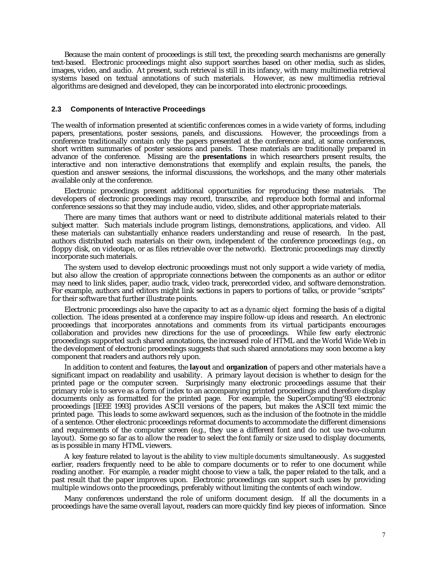Because the main content of proceedings is still text, the preceding search mechanisms are generally text-based. Electronic proceedings might also support searches based on other media, such as slides, images, video, and audio. At present, such retrieval is still in its infancy, with many multimedia retrieval systems based on textual annotations of such materials. However, as new multimedia retrieval algorithms are designed and developed, they can be incorporated into electronic proceedings.

## **2.3 Components of Interactive Proceedings**

The wealth of information presented at scientific conferences comes in a wide variety of forms, including papers, presentations, poster sessions, panels, and discussions. However, the proceedings from a conference traditionally contain only the papers presented at the conference and, at some conferences, short written summaries of poster sessions and panels. These materials are traditionally prepared in advance of the conference. Missing are the **presentations** in which researchers present results, the interactive and non interactive demonstrations that exemplify and explain results, the panels, the question and answer sessions, the informal discussions, the workshops, and the many other materials available only at the conference.

Electronic proceedings present additional opportunities for reproducing these materials. The developers of electronic proceedings may record, transcribe, and reproduce both formal and informal conference sessions so that they may include audio, video, slides, and other appropriate materials.

There are many times that authors want or need to distribute additional materials related to their subject matter. Such materials include program listings, demonstrations, applications, and video. All these materials can substantially enhance readers understanding and reuse of research. In the past, authors distributed such materials on their own, independent of the conference proceedings (e.g., on floppy disk, on videotape, or as files retrievable over the network). Electronic proceedings may directly incorporate such materials.

The system used to develop electronic proceedings must not only support a wide variety of media, but also allow the creation of appropriate connections between the components as an author or editor may need to link slides, paper, audio track, video track, prerecorded video, and software demonstration. For example, authors and editors might link sections in papers to portions of talks, or provide "scripts" for their software that further illustrate points.

Electronic proceedings also have the capacity to act as a *dynamic object* forming the basis of a digital collection. The ideas presented at a conference may inspire follow-up ideas and research. An electronic proceedings that incorporates annotations and comments from its virtual participants encourages collaboration and provides new directions for the use of proceedings. While few early electronic proceedings supported such shared annotations, the increased role of HTML and the World Wide Web in the development of electronic proceedings suggests that such shared annotations may soon become a key component that readers and authors rely upon.

In addition to content and features, the **layout** and **organization** of papers and other materials have a significant impact on readability and usability. A primary layout decision is whether to design for the printed page or the computer screen. Surprisingly many electronic proceedings assume that their primary role is to serve as a form of index to an accompanying printed proceedings and therefore display documents only as formatted for the printed page. For example, the SuperComputing'93 electronic proceedings [IEEE 1993] provides ASCII versions of the papers, but makes the ASCII text mimic the printed page. This leads to some awkward sequences, such as the inclusion of the footnote in the middle of a sentence. Other electronic proceedings reformat documents to accommodate the different dimensions and requirements of the computer screen (e.g., they use a different font and do not use two-column layout). Some go so far as to allow the reader to select the font family or size used to display documents, as is possible in many HTML viewers.

A key feature related to layout is the ability to *view multiple documents* simultaneously. As suggested earlier, readers frequently need to be able to compare documents or to refer to one document while reading another. For example, a reader might choose to view a talk, the paper related to the talk, and a past result that the paper improves upon. Electronic proceedings can support such uses by providing multiple windows onto the proceedings, preferably without limiting the contents of each window.

Many conferences understand the role of uniform document design. If all the documents in a proceedings have the same overall layout, readers can more quickly find key pieces of information. Since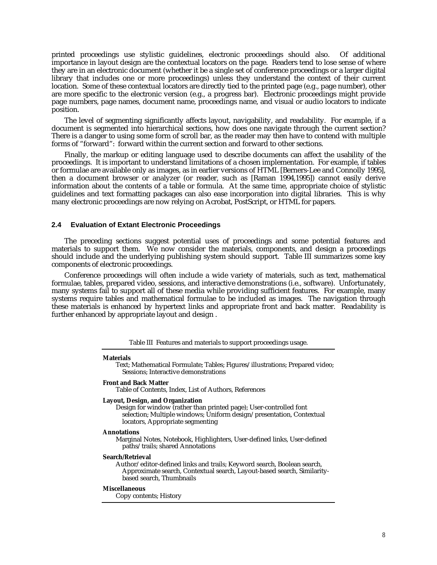printed proceedings use stylistic guidelines, electronic proceedings should also. Of additional importance in layout design are the contextual locators on the page. Readers tend to lose sense of where they are in an electronic document (whether it be a single set of conference proceedings or a larger digital library that includes one or more proceedings) unless they understand the context of their current location. Some of these contextual locators are directly tied to the printed page (e.g., page number), other are more specific to the electronic version (e.g., a progress bar). Electronic proceedings might provide page numbers, page names, document name, proceedings name, and visual or audio locators to indicate position.

The level of segmenting significantly affects layout, navigability, and readability. For example, if a document is segmented into hierarchical sections, how does one navigate through the current section? There is a danger to using some form of scroll bar, as the reader may then have to contend with multiple forms of "forward": forward within the current section and forward to other sections.

Finally, the markup or editing language used to describe documents can affect the usability of the proceedings. It is important to understand limitations of a chosen implementation. For example, if tables or formulae are available only as images, as in earlier versions of HTML [Berners-Lee and Connolly 1995], then a document browser or analyzer (or reader, such as [Raman 1994,1995]) cannot easily derive information about the contents of a table or formula. At the same time, appropriate choice of stylistic guidelines and text formatting packages can also ease incorporation into digital libraries. This is why many electronic proceedings are now relying on Acrobat, PostScript, or HTML for papers.

### **2.4 Evaluation of Extant Electronic Proceedings**

The preceding sections suggest potential uses of proceedings and some potential features and materials to support them. We now consider the materials, components, and design a proceedings should include and the underlying publishing system should support. Table III summarizes some key components of electronic proceedings.

Conference proceedings will often include a wide variety of materials, such as text, mathematical formulae, tables, prepared video, sessions, and interactive demonstrations (i.e., software). Unfortunately, many systems fail to support all of these media while providing sufficient features. For example, many systems require tables and mathematical formulae to be included as images. The navigation through these materials is enhanced by hypertext links and appropriate front and back matter. Readability is further enhanced by appropriate layout and design .

| Table III Features and materials to support proceedings usage. |  |
|----------------------------------------------------------------|--|
|----------------------------------------------------------------|--|

#### **Materials**

Text; Mathematical Formulate; Tables; Figures/illustrations; Prepared video; Sessions; Interactive demonstrations

#### **Front and Back Matter**

Table of Contents, Index, List of Authors, References

### **Layout, Design, and Organization**

Design for window (rather than printed page); User-controlled font selection; Multiple windows; Uniform design/presentation, Contextual locators, Appropriate segmenting

#### **Annotations**

Marginal Notes, Notebook, Highlighters, User-defined links, User-defined paths/trails; shared Annotations

**Search/Retrieval**

Author/editor-defined links and trails; Keyword search, Boolean search, Approximate search, Contextual search, Layout-based search, Similaritybased search, Thumbnails

### **Miscellaneous**

Copy contents; History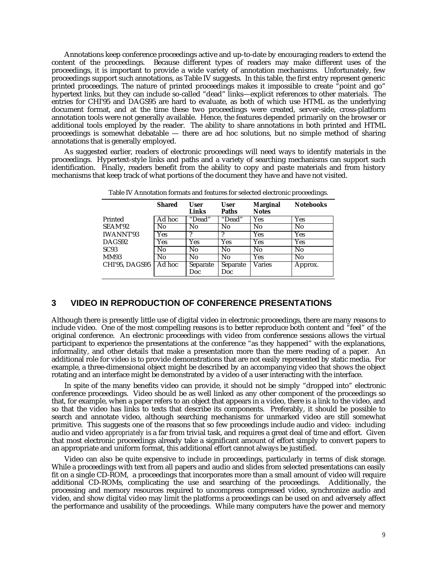Annotations keep conference proceedings active and up-to-date by encouraging readers to extend the content of the proceedings. Because different types of readers may make different uses of the proceedings, it is important to provide a wide variety of annotation mechanisms. Unfortunately, few proceedings support such annotations, as Table IV suggests. In this table, the first entry represent generic printed proceedings. The nature of printed proceedings makes it impossible to create "point and go" hypertext links, but they can include so-called "dead" links—explicit references to other materials. The entries for CHI'95 and DAGS95 are hard to evaluate, as both of which use HTML as the underlying document format, and at the time these two proceedings were created, server-side, cross-platform annotation tools were not generally available. Hence, the features depended primarily on the browser or additional tools employed by the reader. The ability to share annotations in both printed and HTML proceedings is somewhat debatable — there are ad hoc solutions, but no simple method of sharing annotations that is generally employed.

As suggested earlier, readers of electronic proceedings will need ways to identify materials in the proceedings. Hypertext-style links and paths and a variety of searching mechanisms can support such identification. Finally, readers benefit from the ability to copy and paste materials and from history mechanisms that keep track of what portions of the document they have and have not visited.

|                  | <b>Shared</b>  | <b>User</b><br>Links   | <b>User</b><br><b>Paths</b> | <b>Marginal</b><br><b>Notes</b> | <b>Notebooks</b> |
|------------------|----------------|------------------------|-----------------------------|---------------------------------|------------------|
| Printed          | Ad hoc         | "Dead"                 | "Dead"                      | Yes                             | Yes              |
| <b>SEAM'92</b>   | N <sub>0</sub> | N <sub>0</sub>         | N <sub>0</sub>              | N <sub>0</sub>                  | N <sub>0</sub>   |
| <b>IWANNT'93</b> | <b>Yes</b>     | ?                      | ?                           | <b>Yes</b>                      | Yes              |
| <b>DAGS92</b>    | <b>Yes</b>     | Yes                    | Yes                         | <b>Yes</b>                      | <b>Yes</b>       |
| SC93             | N <sub>0</sub> | N <sub>0</sub>         | N <sub>0</sub>              | N <sub>0</sub>                  | N <sub>0</sub>   |
| <b>MM93</b>      | No             | N <sub>0</sub>         | N <sub>0</sub>              | <b>Yes</b>                      | N <sub>0</sub>   |
| CHI'95, DAGS95   | Ad hoc         | <b>Separate</b><br>Doc | Separate<br><b>Doc</b>      | Varies                          | Approx.          |

Table IV Annotation formats and features for selected electronic proceedings.

## **3 VIDEO IN REPRODUCTION OF CONFERENCE PRESENTATIONS**

Although there is presently little use of digital video in electronic proceedings, there are many reasons to include video. One of the most compelling reasons is to better reproduce both content and "feel" of the original conference. An electronic proceedings with video from conference sessions allows the virtual participant to experience the presentations at the conference "as they happened" with the explanations, informality, and other details that make a presentation more than the mere reading of a paper. An additional role for video is to provide demonstrations that are not easily represented by static media. For example, a three-dimensional object might be described by an accompanying video that shows the object rotating and an interface might be demonstrated by a video of a user interacting with the interface.

In spite of the many benefits video can provide, it should not be simply "dropped into" electronic conference proceedings. Video should be as well linked as any other component of the proceedings so that, for example, when a paper refers to an object that appears in a video, there is a link to the video, and so that the video has links to texts that describe its components. Preferably, it should be possible to search and annotate video, although searching mechanisms for unmarked video are still somewhat primitive. This suggests one of the reasons that so few proceedings include audio and video: including audio and video *appropriately* is a far from trivial task, and requires a great deal of time and effort. Given that most electronic proceedings already take a significant amount of effort simply to convert papers to an appropriate and uniform format, this additional effort cannot always be justified.

Video can also be quite expensive to include in proceedings, particularly in terms of disk storage. While a proceedings with text from all papers and audio and slides from selected presentations can easily fit on a single CD-ROM, a proceedings that incorporates more than a small amount of video will require additional CD-ROMs, complicating the use and searching of the proceedings. Additionally, the processing and memory resources required to uncompress compressed video, synchronize audio and video, and show digital video may limit the platforms a proceedings can be used on and adversely affect the performance and usability of the proceedings. While many computers have the power and memory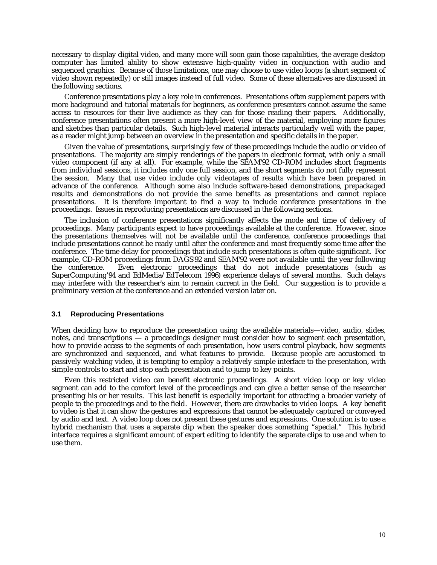necessary to display digital video, and many more will soon gain those capabilities, the average desktop computer has limited ability to show extensive high-quality video in conjunction with audio and sequenced graphics. Because of those limitations, one may choose to use video loops (a short segment of video shown repeatedly) or still images instead of full video. Some of these alternatives are discussed in the following sections.

Conference presentations play a key role in conferences. Presentations often supplement papers with more background and tutorial materials for beginners, as conference presenters cannot assume the same access to resources for their live audience as they can for those reading their papers. Additionally, conference presentations often present a more high-level view of the material, employing more figures and sketches than particular details. Such high-level material interacts particularly well with the paper, as a reader might jump between an overview in the presentation and specific details in the paper.

Given the value of presentations, surprisingly few of these proceedings include the audio or video of presentations. The majority are simply renderings of the papers in electronic format, with only a small video component (if any at all). For example, while the SEAM'92 CD-ROM includes short fragments from individual sessions, it includes only one full session, and the short segments do not fully represent the session. Many that use video include only videotapes of results which have been prepared in advance of the conference. Although some also include software-based demonstrations, prepackaged results and demonstrations do not provide the same benefits as presentations and cannot replace presentations. It is therefore important to find a way to include conference presentations in the proceedings. Issues in reproducing presentations are discussed in the following sections.

The inclusion of conference presentations significantly affects the mode and time of delivery of proceedings. Many participants expect to have proceedings available at the conference. However, since the presentations themselves will not be available until the conference, conference proceedings that include presentations cannot be ready until after the conference and most frequently some time after the conference. The time delay for proceedings that include such presentations is often quite significant. For example, CD-ROM proceedings from DAGS'92 and SEAM'92 were not available until the year following the conference. Even electronic proceedings that do not include presentations (such as SuperComputing'94 and EdMedia/EdTelecom 1996) experience delays of several months. Such delays may interfere with the researcher's aim to remain current in the field. Our suggestion is to provide a preliminary version at the conference and an extended version later on.

## **3.1 Reproducing Presentations**

When deciding how to reproduce the presentation using the available materials—video, audio, slides, notes, and transcriptions — a proceedings designer must consider how to segment each presentation, how to provide access to the segments of each presentation, how users control playback, how segments are synchronized and sequenced, and what features to provide. Because people are accustomed to passively watching video, it is tempting to employ a relatively simple interface to the presentation, with simple controls to start and stop each presentation and to jump to key points.

Even this restricted video can benefit electronic proceedings. A short video loop or key video segment can add to the comfort level of the proceedings and can give a better sense of the researcher presenting his or her results. This last benefit is especially important for attracting a broader variety of people to the proceedings and to the field. However, there are drawbacks to video loops. A key benefit to video is that it can show the gestures and expressions that cannot be adequately captured or conveyed by audio and text. A video loop does not present these gestures and expressions. One solution is to use a hybrid mechanism that uses a separate clip when the speaker does something "special." This hybrid interface requires a significant amount of expert editing to identify the separate clips to use and when to use them.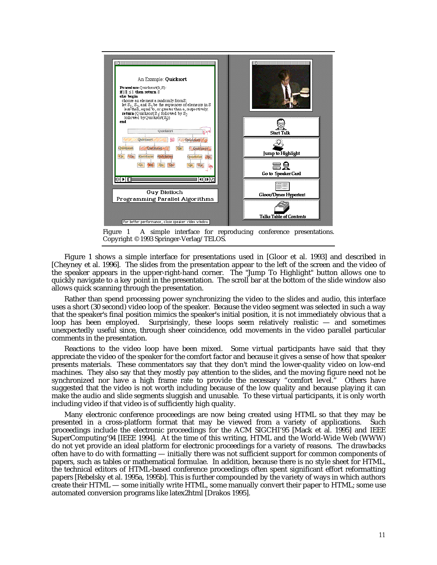

Figure 1 A simple interface for reproducing conference presentations. Copyright © 1993 Springer-Verlag/TELOS.

Figure 1 shows a simple interface for presentations used in [Gloor et al. 1993] and described in [Cheyney et al. 1996]. The slides from the presentation appear to the left of the screen and the video of the speaker appears in the upper-right-hand corner. The "Jump To Highlight" button allows one to quickly navigate to a key point in the presentation. The scroll bar at the bottom of the slide window also allows quick scanning through the presentation.

Rather than spend processing power synchronizing the video to the slides and audio, this interface uses a short (30 second) video loop of the speaker. Because the video segment was selected in such a way that the speaker's final position mimics the speaker's initial position, it is not immediately obvious that a loop has been employed. Surprisingly, these loops seem relatively realistic — and sometimes unexpectedly useful since, through sheer coincidence, odd movements in the video parallel particular comments in the presentation.

Reactions to the video loop have been mixed. Some virtual participants have said that they appreciate the video of the speaker for the comfort factor and because it gives a sense of how that speaker presents materials. These commentators say that they don't mind the lower-quality video on low-end machines. They also say that they mostly pay attention to the slides, and the moving figure need not be synchronized nor have a high frame rate to provide the necessary "comfort level." Others have suggested that the video is not worth including because of the low quality and because playing it can make the audio and slide segments sluggish and unusable. To these virtual participants, it is only worth including video if that video is of sufficiently high quality.

Many electronic conference proceedings are now being created using HTML so that they may be presented in a cross-platform format that may be viewed from a variety of applications. Such proceedings include the electronic proceedings for the ACM SIGCHI'95 [Mack et al. 1995] and IEEE SuperComputing'94 [IEEE 1994]. At the time of this writing, HTML and the World-Wide Web (WWW) do not yet provide an ideal platform for electronic proceedings for a variety of reasons. The drawbacks often have to do with formatting — initially there was not sufficient support for common components of papers, such as tables or mathematical formulae. In addition, because there is no style sheet for HTML, the technical editors of HTML-based conference proceedings often spent significant effort reformatting papers [Rebelsky et al. 1995a, 1995b]. This is further compounded by the variety of ways in which authors create their HTML — some initially write HTML, some manually convert their paper to HTML; some use automated conversion programs like latex2html [Drakos 1995].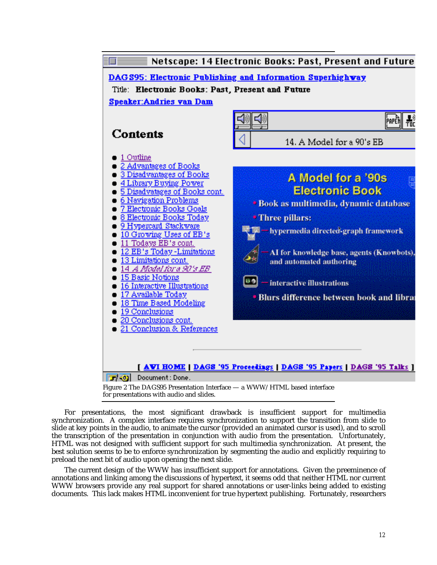

Figure 2 The DAGS95 Presentation Interface — a WWW/HTML based interface for presentations with audio and slides.

For presentations, the most significant drawback is insufficient support for multimedia synchronization. A complex interface requires synchronization to support the transition from slide to slide at key points in the audio, to animate the cursor (provided an animated cursor is used), and to scroll the transcription of the presentation in conjunction with audio from the presentation. Unfortunately, HTML was not designed with sufficient support for such multimedia synchronization. At present, the best solution seems to be to enforce synchronization by segmenting the audio and explicitly requiring to preload the next bit of audio upon opening the next slide.

The current design of the WWW has insufficient support for annotations. Given the preeminence of annotations and linking among the discussions of hypertext, it seems odd that neither HTML nor current WWW browsers provide any real support for shared annotations or user-links being added to existing documents. This lack makes HTML inconvenient for true hypertext publishing. Fortunately, researchers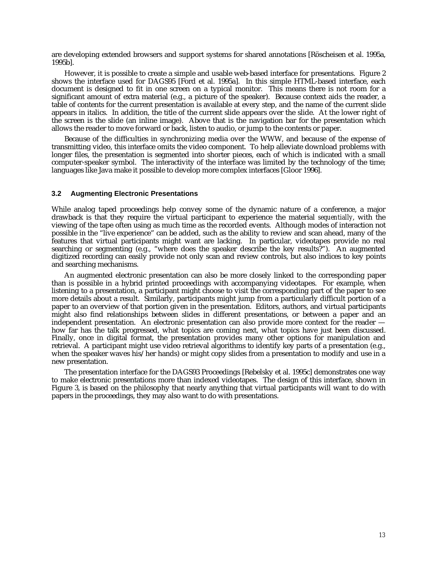are developing extended browsers and support systems for shared annotations [Röscheisen et al. 1995a, 1995b].

However, it is possible to create a simple and usable web-based interface for presentations. Figure 2 shows the interface used for DAGS95 [Ford et al. 1995a]. In this simple HTML-based interface, each document is designed to fit in one screen on a typical monitor. This means there is not room for a significant amount of extra material (e.g., a picture of the speaker). Because context aids the reader, a table of contents for the current presentation is available at every step, and the name of the current slide appears in italics. In addition, the title of the current slide appears over the slide. At the lower right of the screen is the slide (an inline image). Above that is the navigation bar for the presentation which allows the reader to move forward or back, listen to audio, or jump to the contents or paper.

Because of the difficulties in synchronizing media over the WWW, and because of the expense of transmitting video, this interface omits the video component. To help alleviate download problems with longer files, the presentation is segmented into shorter pieces, each of which is indicated with a small computer-speaker symbol. The interactivity of the interface was limited by the technology of the time; languages like Java make it possible to develop more complex interfaces [Gloor 1996].

## **3.2 Augmenting Electronic Presentations**

While analog taped proceedings help convey some of the dynamic nature of a conference, a major drawback is that they require the virtual participant to experience the material *sequentially*, with the viewing of the tape often using as much time as the recorded events. Although modes of interaction not possible in the "live experience" can be added, such as the ability to review and scan ahead, many of the features that virtual participants might want are lacking. In particular, videotapes provide no real searching or segmenting (e.g., "where does the speaker describe the key results?"). An augmented digitized recording can easily provide not only scan and review controls, but also indices to key points and searching mechanisms.

An augmented electronic presentation can also be more closely linked to the corresponding paper than is possible in a hybrid printed proceedings with accompanying videotapes. For example, when listening to a presentation, a participant might choose to visit the corresponding part of the paper to see more details about a result. Similarly, participants might jump from a particularly difficult portion of a paper to an overview of that portion given in the presentation. Editors, authors, and virtual participants might also find relationships between slides in different presentations, or between a paper and an independent presentation. An electronic presentation can also provide more context for the reader how far has the talk progressed, what topics are coming next, what topics have just been discussed. Finally, once in digital format, the presentation provides many other options for manipulation and retrieval. A participant might use video retrieval algorithms to identify key parts of a presentation (e.g., when the speaker waves his/her hands) or might copy slides from a presentation to modify and use in a new presentation.

The presentation interface for the DAGS93 Proceedings [Rebelsky et al. 1995c] demonstrates one way to make electronic presentations more than indexed videotapes. The design of this interface, shown in Figure 3, is based on the philosophy that nearly anything that virtual participants will want to do with papers in the proceedings, they may also want to do with presentations.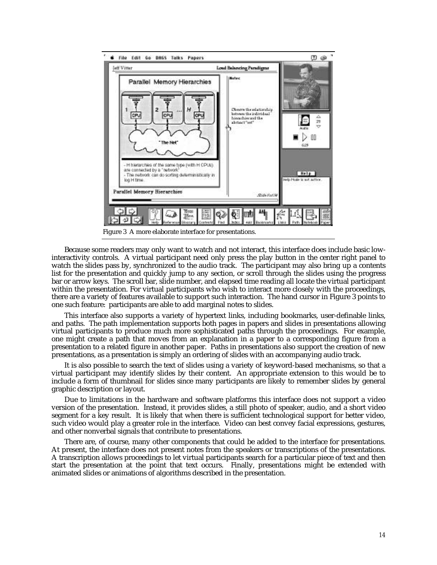

Because some readers may only want to watch and not interact, this interface does include basic lowinteractivity controls. A virtual participant need only press the play button in the center right panel to watch the slides pass by, synchronized to the audio track. The participant may also bring up a contents list for the presentation and quickly jump to any section, or scroll through the slides using the progress bar or arrow keys. The scroll bar, slide number, and elapsed time reading all locate the virtual participant within the presentation. For virtual participants who wish to interact more closely with the proceedings, there are a variety of features available to support such interaction. The hand cursor in Figure 3 points to one such feature: participants are able to add marginal notes to slides.

This interface also supports a variety of hypertext links, including bookmarks, user-definable links, and paths. The path implementation supports both pages in papers and slides in presentations allowing virtual participants to produce much more sophisticated paths through the proceedings. For example, one might create a path that moves from an explanation in a paper to a corresponding figure from a presentation to a related figure in another paper. Paths in presentations also support the creation of new presentations, as a presentation is simply an ordering of slides with an accompanying audio track.

It is also possible to search the text of slides using a variety of keyword-based mechanisms, so that a virtual participant may identify slides by their content. An appropriate extension to this would be to include a form of thumbnail for slides since many participants are likely to remember slides by general graphic description or layout.

Due to limitations in the hardware and software platforms this interface does not support a video version of the presentation. Instead, it provides slides, a still photo of speaker, audio, and a short video segment for a key result. It is likely that when there is sufficient technological support for better video, such video would play a greater role in the interface. Video can best convey facial expressions, gestures, and other nonverbal signals that contribute to presentations.

There are, of course, many other components that could be added to the interface for presentations. At present, the interface does not present notes from the speakers or transcriptions of the presentations. A transcription allows proceedings to let virtual participants search for a particular piece of text and then start the presentation at the point that text occurs. Finally, presentations might be extended with animated slides or animations of algorithms described in the presentation.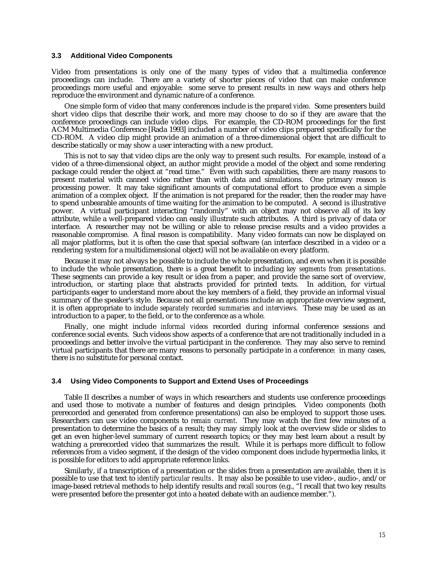## **3.3 Additional Video Components**

Video from presentations is only one of the many types of video that a multimedia conference proceedings can include. There are a variety of shorter pieces of video that can make conference proceedings more useful and enjoyable: some serve to present results in new ways and others help reproduce the environment and dynamic nature of a conference.

One simple form of video that many conferences include is the *prepared video*. Some presenters build short video clips that describe their work, and more may choose to do so if they are aware that the conference proceedings can include video clips. For example, the CD-ROM proceedings for the first ACM Multimedia Conference [Rada 1993] included a number of video clips prepared specifically for the CD-ROM. A video clip might provide an animation of a three-dimensional object that are difficult to describe statically or may show a user interacting with a new product.

This is not to say that video clips are the only way to present such results. For example, instead of a video of a three-dimensional object, an author might provide a model of the object and some rendering package could render the object at "read time." Even with such capabilities, there are many reasons to present material with canned video rather than with data and simulations. One primary reason is processing power. It may take significant amounts of computational effort to produce even a simple animation of a complex object. If the animation is not prepared for the reader, then the reader may have to spend unbearable amounts of time waiting for the animation to be computed. A second is illustrative power. A virtual participant interacting "randomly" with an object may not observe all of its key attribute, while a well-prepared video can easily illustrate such attributes. A third is privacy of data or interface. A researcher may not be willing or able to release precise results and a video provides a reasonable compromise. A final reason is compatibility. Many video formats can now be displayed on all major platforms, but it is often the case that special software (an interface described in a video or a rendering system for a multidimensional object) will not be available on every platform.

Because it may not always be possible to include the whole presentation, and even when it is possible to include the whole presentation, there is a great benefit to including *key segments from presentations*. These segments can provide a key result or idea from a paper, and provide the same sort of overview, introduction, or starting place that abstracts provided for printed texts. In addition, for virtual participants eager to understand more about the key members of a field, they provide an informal visual summary of the speaker's style. Because not all presentations include an appropriate overview segment, it is often appropriate to include *separately recorded summaries and interviews.* These may be used as an introduction to a paper, to the field, or to the conference as a whole.

Finally, one might include *informal videos* recorded during informal conference sessions and conference social events. Such videos show aspects of a conference that are not traditionally included in a proceedings and better involve the virtual participant in the conference. They may also serve to remind virtual participants that there are many reasons to personally participate in a conference: in many cases, there is no substitute for personal contact.

## **3.4 Using Video Components to Support and Extend Uses of Proceedings**

Table II describes a number of ways in which researchers and students use conference proceedings and used those to motivate a number of features and design principles. Video components (both prerecorded and generated from conference presentations) can also be employed to support those uses. Researchers can use video components to *remain current*. They may watch the first few minutes of a presentation to determine the basics of a result; they may simply look at the overview slide or slides to get an even higher-level summary of current research topics; or they may best learn about a result by watching a prerecorded video that summarizes the result. While it is perhaps more difficult to follow references from a video segment, if the design of the video component does include hypermedia links, it is possible for editors to add appropriate reference links.

Similarly, if a transcription of a presentation or the slides from a presentation are available, then it is possible to use that text to *identify particular results*. It may also be possible to use video-, audio-, and/or image-based retrieval methods to help identify results and *recall sources* (e.g., "I recall that two key results were presented before the presenter got into a heated debate with an audience member.").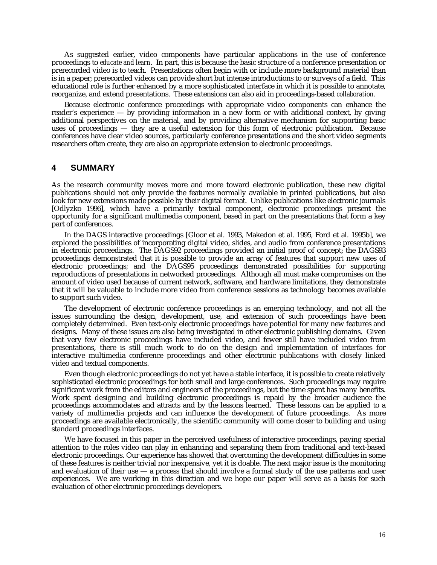As suggested earlier, video components have particular applications in the use of conference proceedings to *educate and learn*. In part, this is because the basic structure of a conference presentation or prerecorded video is to teach. Presentations often begin with or include more background material than is in a paper; prerecorded videos can provide short but intense introductions to or surveys of a field. This educational role is further enhanced by a more sophisticated interface in which it is possible to annotate, reorganize, and extend presentations. These extensions can also aid in proceedings-based *collaboration*.

Because electronic conference proceedings with appropriate video components can enhance the reader's experience — by providing information in a new form or with additional context, by giving additional perspectives on the material, and by providing alternative mechanism for supporting basic uses of proceedings — they are a useful extension for this form of electronic publication. Because conferences have clear video sources, particularly conference presentations and the short video segments researchers often create, they are also an appropriate extension to electronic proceedings.

## **4 SUMMARY**

As the research community moves more and more toward electronic publication, these new digital publications should not only provide the features normally available in printed publications, but also look for new extensions made possible by their digital format. Unlike publications like electronic journals [Odlyzko 1996], which have a primarily textual component, electronic proceedings present the opportunity for a significant multimedia component, based in part on the presentations that form a key part of conferences.

In the DAGS interactive proceedings [Gloor et al. 1993, Makedon et al. 1995, Ford et al. 1995b], we explored the possibilities of incorporating digital video, slides, and audio from conference presentations in electronic proceedings. The DAGS92 proceedings provided an initial proof of concept; the DAGS93 proceedings demonstrated that it is possible to provide an array of features that support new uses of electronic proceedings; and the DAGS95 proceedings demonstrated possibilities for supporting reproductions of presentations in networked proceedings. Although all must make compromises on the amount of video used because of current network, software, and hardware limitations, they demonstrate that it will be valuable to include more video from conference sessions as technology becomes available to support such video.

The development of electronic conference proceedings is an emerging technology, and not all the issues surrounding the design, development, use, and extension of such proceedings have been completely determined. Even text-only electronic proceedings have potential for many new features and designs. Many of these issues are also being investigated in other electronic publishing domains. Given that very few electronic proceedings have included video, and fewer still have included video from presentations, there is still much work to do on the design and implementation of interfaces for interactive multimedia conference proceedings and other electronic publications with closely linked video and textual components.

Even though electronic proceedings do not yet have a stable interface, it is possible to create relatively sophisticated electronic proceedings for both small and large conferences. Such proceedings may require significant work from the editors and engineers of the proceedings, but the time spent has many benefits. Work spent designing and building electronic proceedings is repaid by the broader audience the proceedings accommodates and attracts and by the lessons learned. These lessons can be applied to a variety of multimedia projects and can influence the development of future proceedings. As more proceedings are available electronically, the scientific community will come closer to building and using standard proceedings interfaces.

We have focused in this paper in the perceived usefulness of interactive proceedings, paying special attention to the roles video can play in enhancing and separating them from traditional and text-based electronic proceedings. Our experience has showed that overcoming the development difficulties in some of these features is neither trivial nor inexpensive, yet it is doable. The next major issue is the monitoring and evaluation of their use — a process that should involve a formal study of the use patterns and user experiences. We are working in this direction and we hope our paper will serve as a basis for such evaluation of other electronic proceedings developers.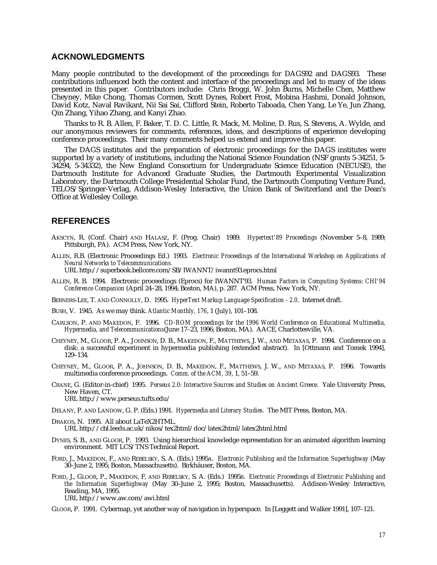# **ACKNOWLEDGMENTS**

Many people contributed to the development of the proceedings for DAGS92 and DAGS93. These contributions influenced both the content and interface of the proceedings and led to many of the ideas presented in this paper. Contributors include: Chris Broggi, W. John Burns, Michelle Chen, Matthew Cheyney, Mike Chong, Thomas Cormen, Scott Dynes, Robert Frost, Mobina Hashmi, Donald Johnson, David Kotz, Naval Ravikant, Nii Sai Sai, Clifford Stein, Roberto Taboada, Chen Yang, Le Ye, Jun Zhang, Qin Zhang, Yihao Zhang, and Kanyi Zhao.

Thanks to R. B. Allen, F. Baker, T. D. C. Little, R. Mack, M. Moline, D. Rus, S. Stevens, A. Wylde, and our anonymous reviewers for comments, references, ideas, and descriptions of experience developing conference proceedings. Their many comments helped us extend and improve this paper.

The DAGS institutes and the preparation of electronic proceedings for the DAGS institutes were supported by a variety of institutions, including the National Science Foundation (NSF grants 5-34251, 5- 34294, 5-34332), the New England Consortium for Undergraduate Science Education (NECUSE), the Dartmouth Institute for Advanced Graduate Studies, the Dartmouth Experimental Visualization Laboratory, the Dartmouth College Presidential Scholar Fund, the Dartmouth Computing Venture Fund, TELOS/Springer-Verlag, Addison-Wesley Interactive, the Union Bank of Switzerland and the Dean's Office at Wellesley College.

## **REFERENCES**

- AKSCYN, R. (Conf. Chair) AND HALASZ, F. (Prog. Chair) 1989. *Hypertext'89 Proceedings* (November 5–8, 1989; Pittsburgh, PA). ACM Press, New York, NY.
- ALLEN, R.B. (Electronic Proceedings Ed.) 1993. *Electronic Proceedings of the International Workshop on Applications of Neural Networks to Telecommunications.* URL http://superbook.bellcore.com/SB/IWANNT/iwannt93.eprocs.html
- ALLEN, R. B. 1994. Electronic proceedings (Eprocs) for IWANNT'93. *Human Factors in Computing Systems: CHI'94 Conference Companion* (April 24–28, 1994; Boston, MA), p. 287. ACM Press, New York, NY.

BERNERS-LEE, T. AND CONNOLLY, D. 1995. *HyperText Markup Language Specification - 2.0*. Internet draft.

- BUSH, V. 1945. As we may think. *Atlantic Monthly, 176*, 1 (July), 101–108.
- CARLSON, P. AND MAKEDON, F. 1996. *CD-ROM proceedings for the 1996 World Conference on Educational Multimedia, Hypermedia, and Telecommunications*(June 17–23, 1996; Boston, MA). AACE, Charlottesville, VA.
- CHEYNEY, M., GLOOR, P. A., J OHNSON, D. B., MAKEDON, F., MATTHEWS, J. W., AND METAXAS, P. 1994. Conference on a disk: a successful experiment in hypermedia publishing (extended abstract). In [Ottmann and Tomek 1994], 129–134.
- CHEYNEY, M., GLOOR, P. A., JOHNSON, D. B., MAKEDON, F., MATTHEWS, J. W., AND METAXAS, P. 1996. Towards multimedia conference proceedings. *Comm. of the ACM, 39*, 1, 51–59.
- CRANE, G. (Editor-in-chief) 1995. *Perseus 2.0: Interactive Sources and Studies on Ancient Greece.* Yale University Press, New Haven, CT.

URL http://www.perseus.tufts.edu/

- DELANY, P. AND LANDOW, G. P. (Eds.) 1991. *Hypermedia and Literary Studies.* The MIT Press, Boston, MA.
- DRAKOS, N. 1995. All about LaTeX2HTML. URL http://cbl.leeds.ac.uk/nikos/tex2html/doc/latex2html/latex2html.html
- DYNES, S. B., AND GLOOR, P. 1993. Using hierarchical knowledge representation for an animated algorithm learning environment. MIT LCS/TNS Technical Report.
- FORD, J., MAKEDON, F., AND REBELSKY, S. A. (Eds.) 1995A. *Electronic Publishing and the Information Superhighway* (May 30–June 2, 1995; Boston, Massachusetts). Birkhäuser, Boston, MA.
- FORD, J., GLOOR, P., MAKEDON, F, AND REBELSKY, S. A. (Eds.) 1995B. *Electronic Proceedings of Electronic Publishing and the Information Superhighway* (May 30–June 2, 1995; Boston, Massachusetts). Addison-Wesley Interactive, Reading, MA, 1995. URL http://www.aw.com/awi.html
- GLOOR, P. 1991. Cybermap, yet another way of navigation in hyperspace. In [Leggett and Walker 1991], 107–121.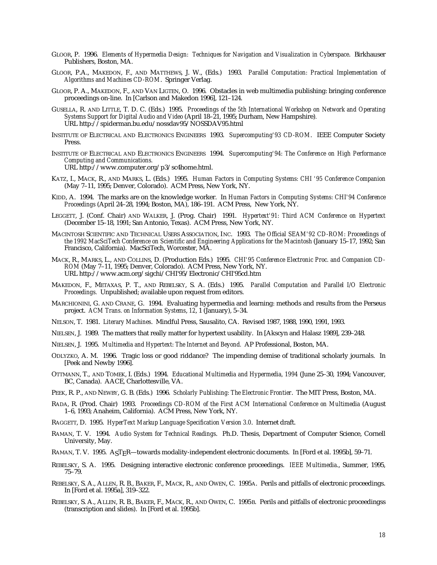- GLOOR, P. 1996. *Elements of Hypermedia Design: Techniques for Navigation and Visualization in Cyberspace*. Birkhauser Publishers, Boston, MA.
- GLOOR, P.A., MAKEDON, F., AND MATTHEWS, J. W., (Eds.) 1993. *Parallel Computation: Practical Implementation of Algorithms and Machines CD-ROM*. Springer Verlag.
- GLOOR, P. A., MAKEDON, F., AND VAN LIGTEN, O. 1996. Obstacles in web multimedia publishing: bringing conference proceedings on-line. In [Carlson and Makedon 1996], 121–124.
- GUSELLA, R. AND LITTLE, T. D. C. (Eds.) 1995. *Proceedings of the 5th International Workshop on Network and Operating Systems Support for Digital Audio and Video* (April 18–21, 1995; Durham, New Hampshire)*.* URL http://spiderman.bu.edu/nossdav95/NOSSDAV95.html
- INSTITUTE OF ELECTRICAL AND ELECTRONICS ENGINEERS 1993. *Supercomputing'93 CD-ROM*. IEEE Computer Society Press.
- INSTITUTE OF ELECTRICAL AND ELECTRONICS ENGINEERS 1994. *Supercomputing'94: The Conference on High Performance Computing and Communications.* URL http://www.computer.org/p3/sc4home.html.
- KATZ, I., MACK, R., AND MARKS, L. (Eds.) 1995. *Human Factors in Computing Systems: CHI '95 Conference Companion* (May 7–11, 1995; Denver, Colorado). ACM Press, New York, NY.
- KIDD, A. 1994. The marks are on the knowledge worker. In *Human Factors in Computing Systems: CHI'94 Conference Proceedings* (April 24–28, 1994; Boston, MA), 186–191. ACM Press, New York, NY.
- LEGGETT, J. (Conf. Chair) AND WALKER, J. (Prog. Chair) 1991. *Hypertext'91: Third ACM Conference on Hypertext* (December 15–18, 1991; San Antonio, Texas). ACM Press, New York, NY.
- MACINTOSH SCIENTIFIC AND TECHNICAL USERS ASSOCIATION, INC. 1993. *The Official SEAM'92 CD-ROM: Proceedings of the 1992 MacSciTech Conference on Scientific and Engineering Applications for the Macintosh* (January 15–17, 1992; San Francisco, California). MacSciTech, Worcester, MA.
- MACK, R., MARKS, L., AND COLLINS, D. (Production Eds.) 1995. *CHI'95 Conference Electronic Proc. and Companion CD-ROM* (May 7–11, 1995; Denver, Colorado). ACM Press, New York, NY. URL http://www.acm.org/sigchi/CHI'95/Electronic/CHI'95cd.htm
- MAKEDON, F., METAXAS, P. T., AND REBELSKY, S. A. (Eds.) 1995. *Parallel Computation and Parallel I/O Electronic Proceedings.* Unpublished; available upon request from editors.
- MARCHIONINI, G. AND CRANE, G. 1994. Evaluating hypermedia and learning: methods and results from the Perseus project. *ACM Trans. on Information Systems*, *12*, 1 (January), 5–34.
- NELSON, T. 1981. *Literary Machines*. Mindful Press, Sausalito, CA. Revised 1987, 1988, 1990, 1991, 1993.
- NIELSEN, J. 1989. The matters that really matter for hypertext usability. In [Akscyn and Halasz 1989], 239–248.
- NIELSEN, J. 1995. *Multimedia and Hypertext: The Internet and Beyond.* AP Professional, Boston, MA.
- ODLYZKO, A. M. 1996. Tragic loss or good riddance? The impending demise of traditional scholarly journals. In [Peek and Newby 1996].
- OTTMANN, T., AND TOMEK, I. (Eds.) 1994. *Educational Multimedia and Hypermedia, 1994* (June 25–30, 1994; Vancouver, BC, Canada). AACE, Charlottesville, VA.
- PEEK, R. P., AND NEWBY, G. B. (Eds.) 1996. *Scholarly Publishing: The Electronic Frontier*. The MIT Press, Boston, MA.
- RADA, R. (Prod. Chair) 1993. *Proceedings CD-ROM of the First ACM International Conference on Multimedia* (August 1–6, 1993; Anaheim, California). ACM Press, New York, NY.
- RAGGETT, D. 1995. *HyperText Markup Language Specification Version 3.0*. Internet draft.
- RAMAN, T. V. 1994. *Audio System for Technical Readings*. Ph.D. Thesis, Department of Computer Science, Cornell University, May.
- RAMAN, T. V. 1995. ASTER—towards modality-independent electronic documents. In [Ford et al. 1995b], 59–71.
- REBELSKY, S. A. 1995. Designing interactive electronic conference proceedings. *IEEE Multimedia*., Summer, 1995, 75–79.
- REBELSKY, S. A., ALLEN, R. B., BAKER, F., MACK, R., AND OWEN, C. 1995A. Perils and pitfalls of electronic proceedings. In [Ford et al. 1995a], 319–322.
- REBELSKY, S. A., ALLEN, R. B., BAKER, F., MACK, R., AND OWEN, C. 1995B. Perils and pitfalls of electronic proceedingss (transcription and slides). In [Ford et al. 1995b].